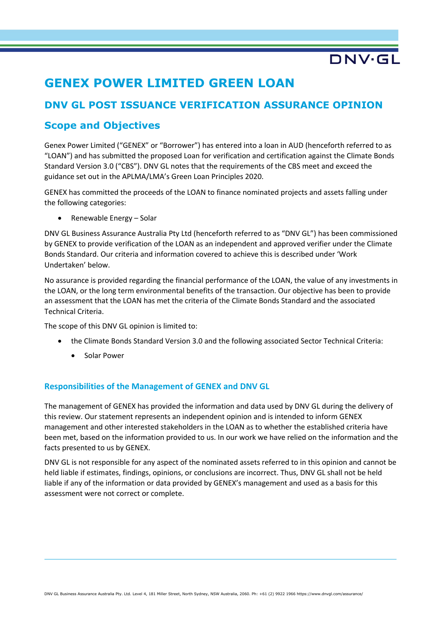# **GENEX POWER LIMITED GREEN LOAN**

# **DNV GL POST ISSUANCE VERIFICATION ASSURANCE OPINION**

# **Scope and Objectives**

Genex Power Limited ("GENEX" or "Borrower") has entered into a loan in AUD (henceforth referred to as "LOAN") and has submitted the proposed Loan for verification and certification against the Climate Bonds Standard Version 3.0 ("CBS"). DNV GL notes that the requirements of the CBS meet and exceed the guidance set out in the APLMA/LMA's Green Loan Principles 2020.

GENEX has committed the proceeds of the LOAN to finance nominated projects and assets falling under the following categories:

• Renewable Energy – Solar

DNV GL Business Assurance Australia Pty Ltd (henceforth referred to as "DNV GL") has been commissioned by GENEX to provide verification of the LOAN as an independent and approved verifier under the Climate Bonds Standard. Our criteria and information covered to achieve this is described under 'Work Undertaken' below.

No assurance is provided regarding the financial performance of the LOAN, the value of any investments in the LOAN, or the long term environmental benefits of the transaction. Our objective has been to provide an assessment that the LOAN has met the criteria of the Climate Bonds Standard and the associated Technical Criteria.

The scope of this DNV GL opinion is limited to:

- the Climate Bonds Standard Version 3.0 and the following associated Sector Technical Criteria:
	- Solar Power

## **Responsibilities of the Management of GENEX and DNV GL**

The management of GENEX has provided the information and data used by DNV GL during the delivery of this review. Our statement represents an independent opinion and is intended to inform GENEX management and other interested stakeholders in the LOAN as to whether the established criteria have been met, based on the information provided to us. In our work we have relied on the information and the facts presented to us by GENEX.

DNV GL is not responsible for any aspect of the nominated assets referred to in this opinion and cannot be held liable if estimates, findings, opinions, or conclusions are incorrect. Thus, DNV GL shall not be held liable if any of the information or data provided by GENEX's management and used as a basis for this assessment were not correct or complete.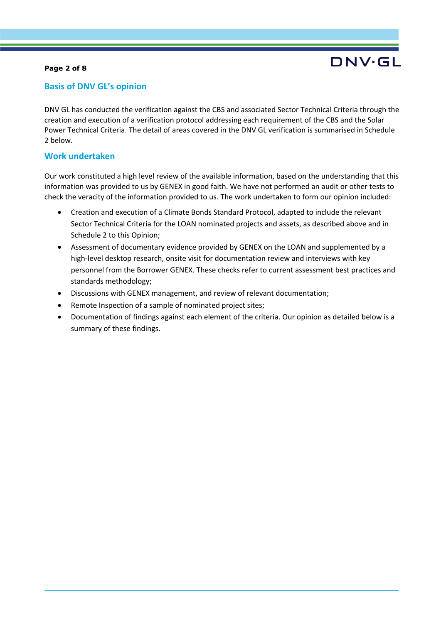### **Page 2 of 8**

## **Basis of DNV GL's opinion**

DNV GL has conducted the verification against the CBS and associated Sector Technical Criteria through the creation and execution of a verification protocol addressing each requirement of the CBS and the Solar Power Technical Criteria. The detail of areas covered in the DNV GL verification is summarised in Schedule 2 below.

### **Work undertaken**

Our work constituted a high level review of the available information, based on the understanding that this information was provided to us by GENEX in good faith. We have not performed an audit or other tests to check the veracity of the information provided to us. The work undertaken to form our opinion included:

- Creation and execution of a Climate Bonds Standard Protocol, adapted to include the relevant Sector Technical Criteria for the LOAN nominated projects and assets, as described above and in Schedule 2 to this Opinion;
- Assessment of documentary evidence provided by GENEX on the LOAN and supplemented by a high-level desktop research, onsite visit for documentation review and interviews with key personnel from the Borrower GENEX. These checks refer to current assessment best practices and standards methodology;
- Discussions with GENEX management, and review of relevant documentation;
- Remote Inspection of a sample of nominated project sites;
- Documentation of findings against each element of the criteria. Our opinion as detailed below is a summary of these findings.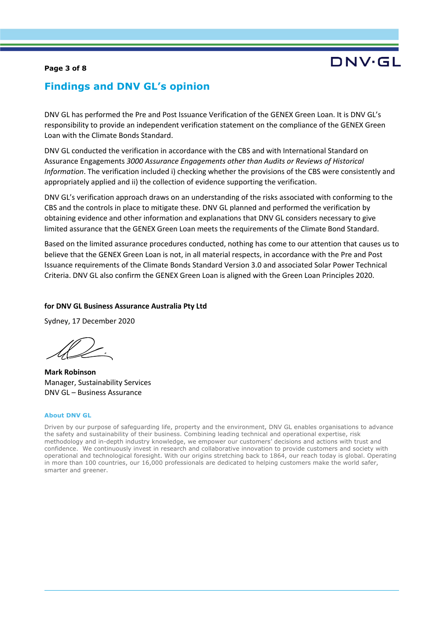### **Page 3 of 8**

# DNV·GL

## **Findings and DNV GL's opinion**

DNV GL has performed the Pre and Post Issuance Verification of the GENEX Green Loan. It is DNV GL's responsibility to provide an independent verification statement on the compliance of the GENEX Green Loan with the Climate Bonds Standard.

DNV GL conducted the verification in accordance with the CBS and with International Standard on Assurance Engagements *3000 Assurance Engagements other than Audits or Reviews of Historical Information*. The verification included i) checking whether the provisions of the CBS were consistently and appropriately applied and ii) the collection of evidence supporting the verification.

DNV GL's verification approach draws on an understanding of the risks associated with conforming to the CBS and the controls in place to mitigate these. DNV GL planned and performed the verification by obtaining evidence and other information and explanations that DNV GL considers necessary to give limited assurance that the GENEX Green Loan meets the requirements of the Climate Bond Standard.

Based on the limited assurance procedures conducted, nothing has come to our attention that causes us to believe that the GENEX Green Loan is not, in all material respects, in accordance with the Pre and Post Issuance requirements of the Climate Bonds Standard Version 3.0 and associated Solar Power Technical Criteria. DNV GL also confirm the GENEX Green Loan is aligned with the Green Loan Principles 2020.

### **for DNV GL Business Assurance Australia Pty Ltd**

Sydney, 17 December 2020

**Mark Robinson** Manager, Sustainability Services DNV GL – Business Assurance

#### **About DNV GL**

Driven by our purpose of safeguarding life, property and the environment, DNV GL enables organisations to advance the safety and sustainability of their business. Combining leading technical and operational expertise, risk methodology and in-depth industry knowledge, we empower our customers' decisions and actions with trust and confidence. We continuously invest in research and collaborative innovation to provide customers and society with operational and technological foresight. With our origins stretching back to 1864, our reach today is global. Operating in more than 100 countries, our 16,000 professionals are dedicated to helping customers make the world safer, smarter and greener.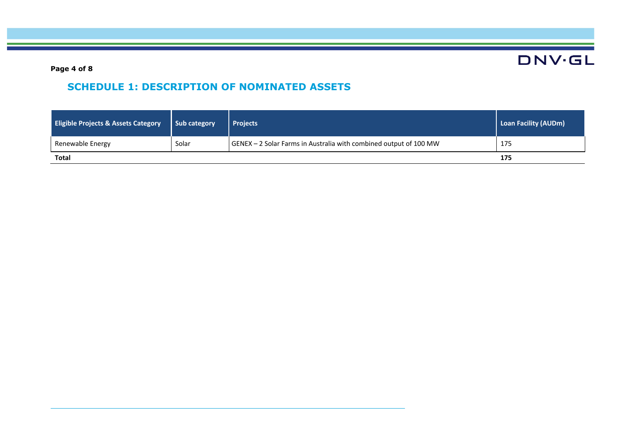**Page 4 of 8**

# **SCHEDULE 1: DESCRIPTION OF NOMINATED ASSETS**

| <b>Eligible Projects &amp; Assets Category</b> | Sub category | <b>Projects</b>                                                   | <b>Loan Facility (AUDm)</b> |
|------------------------------------------------|--------------|-------------------------------------------------------------------|-----------------------------|
| Renewable Energy                               | Solar        | GENEX - 2 Solar Farms in Australia with combined output of 100 MW | 175                         |
| <b>Total</b>                                   | 175          |                                                                   |                             |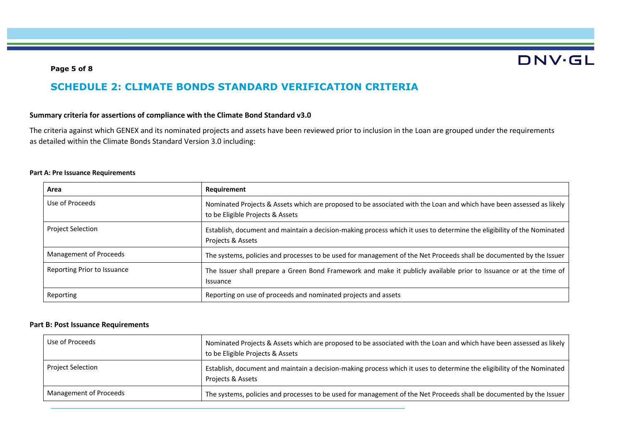### **Page 5 of 8**

# **SCHEDULE 2: CLIMATE BONDS STANDARD VERIFICATION CRITERIA**

### **Summary criteria for assertions of compliance with the Climate Bond Standard v3.0**

The criteria against which GENEX and its nominated projects and assets have been reviewed prior to inclusion in the Loan are grouped under the requirements as detailed within the Climate Bonds Standard Version 3.0 including:

#### **Part A: Pre Issuance Requirements**

| Area                        | <b>Requirement</b>                                                                                                                                       |  |
|-----------------------------|----------------------------------------------------------------------------------------------------------------------------------------------------------|--|
| Use of Proceeds             | Nominated Projects & Assets which are proposed to be associated with the Loan and which have been assessed as likely<br>to be Eligible Projects & Assets |  |
| <b>Project Selection</b>    | Establish, document and maintain a decision-making process which it uses to determine the eligibility of the Nominated<br>Projects & Assets              |  |
| Management of Proceeds      | The systems, policies and processes to be used for management of the Net Proceeds shall be documented by the Issuer                                      |  |
| Reporting Prior to Issuance | The Issuer shall prepare a Green Bond Framework and make it publicly available prior to Issuance or at the time of<br>Issuance                           |  |
| Reporting                   | Reporting on use of proceeds and nominated projects and assets                                                                                           |  |

#### **Part B: Post Issuance Requirements**

| Use of Proceeds          | Nominated Projects & Assets which are proposed to be associated with the Loan and which have been assessed as likely<br>to be Eligible Projects & Assets |
|--------------------------|----------------------------------------------------------------------------------------------------------------------------------------------------------|
| <b>Project Selection</b> | Establish, document and maintain a decision-making process which it uses to determine the eligibility of the Nominated<br>Projects & Assets              |
| Management of Proceeds   | The systems, policies and processes to be used for management of the Net Proceeds shall be documented by the Issuer                                      |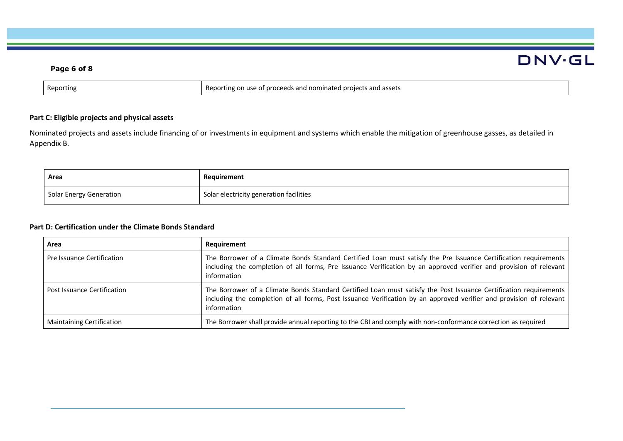### **Page 6 of 8**

| Reporting | g on use of proceeds and nominated projects and assets (<br>Rer<br>າorting |
|-----------|----------------------------------------------------------------------------|

### **Part C: Eligible projects and physical assets**

Nominated projects and assets include financing of or investments in equipment and systems which enable the mitigation of greenhouse gasses, as detailed in Appendix B.

| <b>Area</b>             | Requirement                             |
|-------------------------|-----------------------------------------|
| Solar Energy Generation | Solar electricity generation facilities |

### **Part D: Certification under the Climate Bonds Standard**

| Area                               | Requirement                                                                                                                                                                                                                                             |  |
|------------------------------------|---------------------------------------------------------------------------------------------------------------------------------------------------------------------------------------------------------------------------------------------------------|--|
| Pre Issuance Certification         | The Borrower of a Climate Bonds Standard Certified Loan must satisfy the Pre Issuance Certification requirements<br>including the completion of all forms, Pre Issuance Verification by an approved verifier and provision of relevant<br>information   |  |
| <b>Post Issuance Certification</b> | The Borrower of a Climate Bonds Standard Certified Loan must satisfy the Post Issuance Certification requirements<br>including the completion of all forms, Post Issuance Verification by an approved verifier and provision of relevant<br>information |  |
| <b>Maintaining Certification</b>   | The Borrower shall provide annual reporting to the CBI and comply with non-conformance correction as required                                                                                                                                           |  |

# **DNV·GL**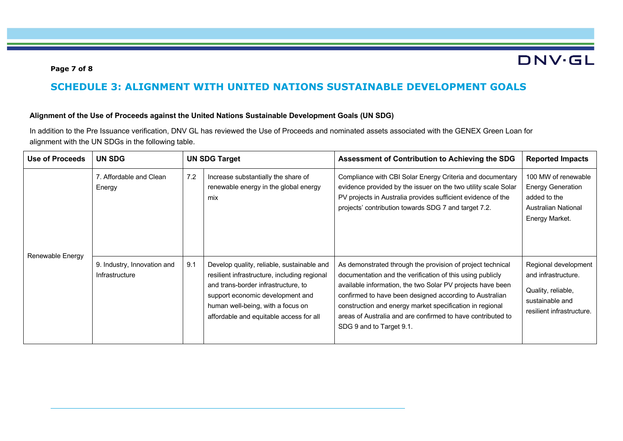### **Page 7 of 8**

# **SCHEDULE 3: ALIGNMENT WITH UNITED NATIONS SUSTAINABLE DEVELOPMENT GOALS**

#### **Alignment of the Use of Proceeds against the United Nations Sustainable Development Goals (UN SDG)**

In addition to the Pre Issuance verification, DNV GL has reviewed the Use of Proceeds and nominated assets associated with the GENEX Green Loan for alignment with the UN SDGs in the following table.

| <b>Use of Proceeds</b> | <b>UN SDG</b>                                 |     | <b>UN SDG Target</b>                                                                                                                                                                                                                                  | Assessment of Contribution to Achieving the SDG                                                                                                                                                                                                                                                                                                                                                         | <b>Reported Impacts</b>                                                                                           |
|------------------------|-----------------------------------------------|-----|-------------------------------------------------------------------------------------------------------------------------------------------------------------------------------------------------------------------------------------------------------|---------------------------------------------------------------------------------------------------------------------------------------------------------------------------------------------------------------------------------------------------------------------------------------------------------------------------------------------------------------------------------------------------------|-------------------------------------------------------------------------------------------------------------------|
| Renewable Energy       | 7. Affordable and Clean<br>Energy             | 7.2 | Increase substantially the share of<br>renewable energy in the global energy<br>mix                                                                                                                                                                   | Compliance with CBI Solar Energy Criteria and documentary<br>evidence provided by the issuer on the two utility scale Solar<br>PV projects in Australia provides sufficient evidence of the<br>projects' contribution towards SDG 7 and target 7.2.                                                                                                                                                     | 100 MW of renewable<br><b>Energy Generation</b><br>added to the<br><b>Australian National</b><br>Energy Market.   |
|                        | 9. Industry, Innovation and<br>Infrastructure | 9.1 | Develop quality, reliable, sustainable and<br>resilient infrastructure, including regional<br>and trans-border infrastructure, to<br>support economic development and<br>human well-being, with a focus on<br>affordable and equitable access for all | As demonstrated through the provision of project technical<br>documentation and the verification of this using publicly<br>available information, the two Solar PV projects have been<br>confirmed to have been designed according to Australian<br>construction and energy market specification in regional<br>areas of Australia and are confirmed to have contributed to<br>SDG 9 and to Target 9.1. | Regional development<br>and infrastructure.<br>Quality, reliable,<br>sustainable and<br>resilient infrastructure. |